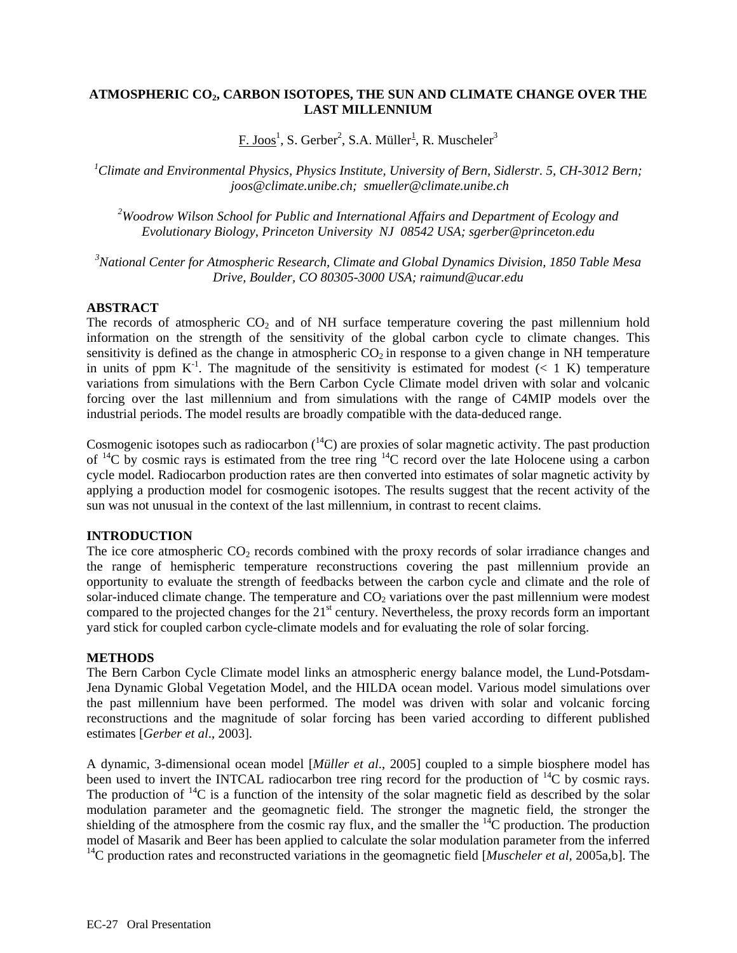# **ATMOSPHERIC CO2, CARBON ISOTOPES, THE SUN AND CLIMATE CHANGE OVER THE LAST MILLENNIUM**

 $F.$  Joos $^1$ , S. Gerber<sup>2</sup>, S.A. Müller $^1$ , R. Muscheler $^3$ 

*1 Climate and Environmental Physics, Physics Institute, University of Bern, Sidlerstr. 5, CH-3012 Bern; joos@climate.unibe.ch; smueller@climate.unibe.ch* 

*2 Woodrow Wilson School for Public and International Affairs and Department of Ecology and Evolutionary Biology, Princeton University NJ 08542 USA; sgerber@princeton.edu* 

*3 National Center for Atmospheric Research, Climate and Global Dynamics Division, 1850 Table Mesa Drive, Boulder, CO 80305-3000 USA; raimund@ucar.edu* 

## **ABSTRACT**

The records of atmospheric  $CO<sub>2</sub>$  and of NH surface temperature covering the past millennium hold information on the strength of the sensitivity of the global carbon cycle to climate changes. This sensitivity is defined as the change in atmospheric  $CO<sub>2</sub>$  in response to a given change in NH temperature in units of ppm  $K^{-1}$ . The magnitude of the sensitivity is estimated for modest  $(< 1 K)$  temperature variations from simulations with the Bern Carbon Cycle Climate model driven with solar and volcanic forcing over the last millennium and from simulations with the range of C4MIP models over the industrial periods. The model results are broadly compatible with the data-deduced range.

Cosmogenic isotopes such as radiocarbon  $(14)$  are proxies of solar magnetic activity. The past production of  ${}^{14}C$  by cosmic rays is estimated from the tree ring  ${}^{14}C$  record over the late Holocene using a carbon cycle model. Radiocarbon production rates are then converted into estimates of solar magnetic activity by applying a production model for cosmogenic isotopes. The results suggest that the recent activity of the sun was not unusual in the context of the last millennium, in contrast to recent claims.

# **INTRODUCTION**

The ice core atmospheric CO<sub>2</sub> records combined with the proxy records of solar irradiance changes and the range of hemispheric temperature reconstructions covering the past millennium provide an opportunity to evaluate the strength of feedbacks between the carbon cycle and climate and the role of solar-induced climate change. The temperature and  $CO<sub>2</sub>$  variations over the past millennium were modest compared to the projected changes for the 21<sup>st</sup> century. Nevertheless, the proxy records form an important yard stick for coupled carbon cycle-climate models and for evaluating the role of solar forcing.

#### **METHODS**

The Bern Carbon Cycle Climate model links an atmospheric energy balance model, the Lund-Potsdam-Jena Dynamic Global Vegetation Model, and the HILDA ocean model. Various model simulations over the past millennium have been performed. The model was driven with solar and volcanic forcing reconstructions and the magnitude of solar forcing has been varied according to different published estimates [*Gerber et al*., 2003].

A dynamic, 3-dimensional ocean model [*Müller et al*., 2005] coupled to a simple biosphere model has been used to invert the INTCAL radiocarbon tree ring record for the production of  $^{14}$ C by cosmic rays. The production of  $^{14}C$  is a function of the intensity of the solar magnetic field as described by the solar modulation parameter and the geomagnetic field. The stronger the magnetic field, the stronger the shielding of the atmosphere from the cosmic ray flux, and the smaller the  $^{14}C$  production. The production model of Masarik and Beer has been applied to calculate the solar modulation parameter from the inferred <sup>14</sup>C production rates and reconstructed variations in the geomagnetic field [*Muscheler et al*, 2005a,b]. The